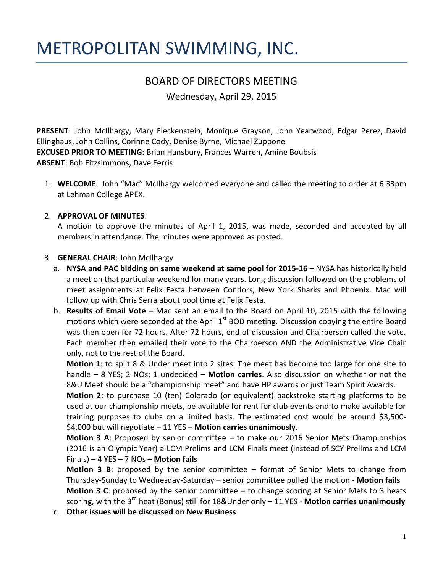# METROPOLITAN SWIMMING, INC.

# BOARD OF DIRECTORS MEETING

Wednesday, April 29, 2015

**PRESENT**: John McIlhargy, Mary Fleckenstein, Monique Grayson, John Yearwood, Edgar Perez, David Ellinghaus, John Collins, Corinne Cody, Denise Byrne, Michael Zuppone **EXCUSED PRIOR TO MEETING:** Brian Hansbury, Frances Warren, Amine Boubsis **ABSENT**: Bob Fitzsimmons, Dave Ferris

1. **WELCOME**: John "Mac" McIlhargy welcomed everyone and called the meeting to order at 6:33pm at Lehman College APEX.

#### 2. **APPROVAL OF MINUTES**:

A motion to approve the minutes of April 1, 2015, was made, seconded and accepted by all members in attendance. The minutes were approved as posted.

#### 3. **GENERAL CHAIR**: John McIlhargy

- a. **NYSA and PAC bidding on same weekend at same pool for 2015-16** NYSA has historically held a meet on that particular weekend for many years. Long discussion followed on the problems of meet assignments at Felix Festa between Condors, New York Sharks and Phoenix. Mac will follow up with Chris Serra about pool time at Felix Festa.
- b. **Results of Email Vote**  Mac sent an email to the Board on April 10, 2015 with the following motions which were seconded at the April  $1<sup>st</sup>$  BOD meeting. Discussion copying the entire Board was then open for 72 hours. After 72 hours, end of discussion and Chairperson called the vote. Each member then emailed their vote to the Chairperson AND the Administrative Vice Chair only, not to the rest of the Board.

**Motion 1**: to split 8 & Under meet into 2 sites. The meet has become too large for one site to handle – 8 YES; 2 NOs; 1 undecided – **Motion carries**. Also discussion on whether or not the 8&U Meet should be a "championship meet" and have HP awards or just Team Spirit Awards.

**Motion 2**: to purchase 10 (ten) Colorado (or equivalent) backstroke starting platforms to be used at our championship meets, be available for rent for club events and to make available for training purposes to clubs on a limited basis. The estimated cost would be around \$3,500- \$4,000 but will negotiate – 11 YES – **Motion carries unanimously**.

**Motion 3 A**: Proposed by senior committee – to make our 2016 Senior Mets Championships (2016 is an Olympic Year) a LCM Prelims and LCM Finals meet (instead of SCY Prelims and LCM Finals) – 4 YES – 7 NOs – **Motion fails**

**Motion 3 B**: proposed by the senior committee – format of Senior Mets to change from Thursday-Sunday to Wednesday-Saturday – senior committee pulled the motion - **Motion fails Motion 3 C**: proposed by the senior committee – to change scoring at Senior Mets to 3 heats scoring, with the 3rd heat (Bonus) still for 18&Under only – 11 YES - **Motion carries unanimously**

c. **Other issues will be discussed on New Business**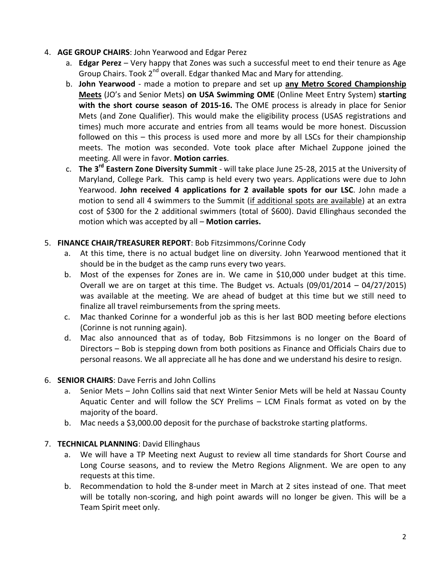#### 4. **AGE GROUP CHAIRS**: John Yearwood and Edgar Perez

- a. **Edgar Perez** Very happy that Zones was such a successful meet to end their tenure as Age Group Chairs. Took 2<sup>nd</sup> overall. Edgar thanked Mac and Mary for attending.
- b. **John Yearwood** made a motion to prepare and set up **any Metro Scored Championship Meets** (JO's and Senior Mets) **on USA Swimming OME** (Online Meet Entry System) **starting with the short course season of 2015-16.** The OME process is already in place for Senior Mets (and Zone Qualifier). This would make the eligibility process (USAS registrations and times) much more accurate and entries from all teams would be more honest. Discussion followed on this – this process is used more and more by all LSCs for their championship meets. The motion was seconded. Vote took place after Michael Zuppone joined the meeting. All were in favor. **Motion carries**.
- c. **The 3rd Eastern Zone Diversity Summit** will take place June 25-28, 2015 at the University of Maryland, College Park. This camp is held every two years. Applications were due to John Yearwood. **John received 4 applications for 2 available spots for our LSC**. John made a motion to send all 4 swimmers to the Summit (if additional spots are available) at an extra cost of \$300 for the 2 additional swimmers (total of \$600). David Ellinghaus seconded the motion which was accepted by all – **Motion carries.**

#### 5. **FINANCE CHAIR/TREASURER REPORT**: Bob Fitzsimmons/Corinne Cody

- a. At this time, there is no actual budget line on diversity. John Yearwood mentioned that it should be in the budget as the camp runs every two years.
- b. Most of the expenses for Zones are in. We came in \$10,000 under budget at this time. Overall we are on target at this time. The Budget vs. Actuals (09/01/2014 – 04/27/2015) was available at the meeting. We are ahead of budget at this time but we still need to finalize all travel reimbursements from the spring meets.
- c. Mac thanked Corinne for a wonderful job as this is her last BOD meeting before elections (Corinne is not running again).
- d. Mac also announced that as of today, Bob Fitzsimmons is no longer on the Board of Directors – Bob is stepping down from both positions as Finance and Officials Chairs due to personal reasons. We all appreciate all he has done and we understand his desire to resign.

#### 6. **SENIOR CHAIRS**: Dave Ferris and John Collins

- a. Senior Mets John Collins said that next Winter Senior Mets will be held at Nassau County Aquatic Center and will follow the SCY Prelims – LCM Finals format as voted on by the majority of the board.
- b. Mac needs a \$3,000.00 deposit for the purchase of backstroke starting platforms.

#### 7. **TECHNICAL PLANNING**: David Ellinghaus

- a. We will have a TP Meeting next August to review all time standards for Short Course and Long Course seasons, and to review the Metro Regions Alignment. We are open to any requests at this time.
- b. Recommendation to hold the 8-under meet in March at 2 sites instead of one. That meet will be totally non-scoring, and high point awards will no longer be given. This will be a Team Spirit meet only.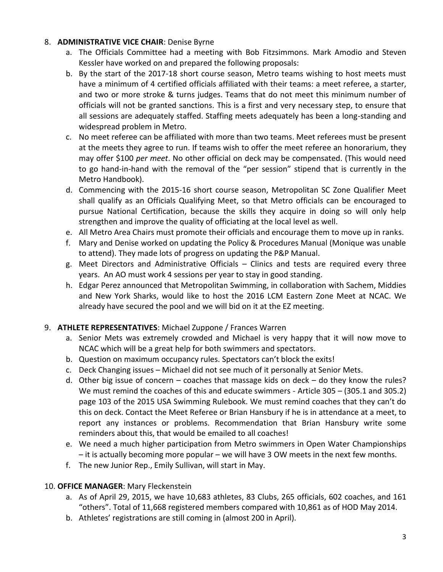#### 8. **ADMINISTRATIVE VICE CHAIR**: Denise Byrne

- a. The Officials Committee had a meeting with Bob Fitzsimmons. Mark Amodio and Steven Kessler have worked on and prepared the following proposals:
- b. By the start of the 2017-18 short course season, Metro teams wishing to host meets must have a minimum of 4 certified officials affiliated with their teams: a meet referee, a starter, and two or more stroke & turns judges. Teams that do not meet this minimum number of officials will not be granted sanctions. This is a first and very necessary step, to ensure that all sessions are adequately staffed. Staffing meets adequately has been a long-standing and widespread problem in Metro.
- c. No meet referee can be affiliated with more than two teams. Meet referees must be present at the meets they agree to run. If teams wish to offer the meet referee an honorarium, they may offer \$100 *per meet*. No other official on deck may be compensated. (This would need to go hand-in-hand with the removal of the "per session" stipend that is currently in the Metro Handbook).
- d. Commencing with the 2015-16 short course season, Metropolitan SC Zone Qualifier Meet shall qualify as an Officials Qualifying Meet, so that Metro officials can be encouraged to pursue National Certification, because the skills they acquire in doing so will only help strengthen and improve the quality of officiating at the local level as well.
- e. All Metro Area Chairs must promote their officials and encourage them to move up in ranks.
- f. Mary and Denise worked on updating the Policy & Procedures Manual (Monique was unable to attend). They made lots of progress on updating the P&P Manual.
- g. Meet Directors and Administrative Officials Clinics and tests are required every three years. An AO must work 4 sessions per year to stay in good standing.
- h. Edgar Perez announced that Metropolitan Swimming, in collaboration with Sachem, Middies and New York Sharks, would like to host the 2016 LCM Eastern Zone Meet at NCAC. We already have secured the pool and we will bid on it at the EZ meeting.

## 9. **ATHLETE REPRESENTATIVES**: Michael Zuppone / Frances Warren

- a. Senior Mets was extremely crowded and Michael is very happy that it will now move to NCAC which will be a great help for both swimmers and spectators.
- b. Question on maximum occupancy rules. Spectators can't block the exits!
- c. Deck Changing issues Michael did not see much of it personally at Senior Mets.
- d. Other big issue of concern coaches that massage kids on deck do they know the rules? We must remind the coaches of this and educate swimmers - Article 305 – (305.1 and 305.2) page 103 of the 2015 USA Swimming Rulebook. We must remind coaches that they can't do this on deck. Contact the Meet Referee or Brian Hansbury if he is in attendance at a meet, to report any instances or problems. Recommendation that Brian Hansbury write some reminders about this, that would be emailed to all coaches!
- e. We need a much higher participation from Metro swimmers in Open Water Championships – it is actually becoming more popular – we will have 3 OW meets in the next few months.
- f. The new Junior Rep., Emily Sullivan, will start in May.

## 10. **OFFICE MANAGER**: Mary Fleckenstein

- a. As of April 29, 2015, we have 10,683 athletes, 83 Clubs, 265 officials, 602 coaches, and 161 "others". Total of 11,668 registered members compared with 10,861 as of HOD May 2014.
- b. Athletes' registrations are still coming in (almost 200 in April).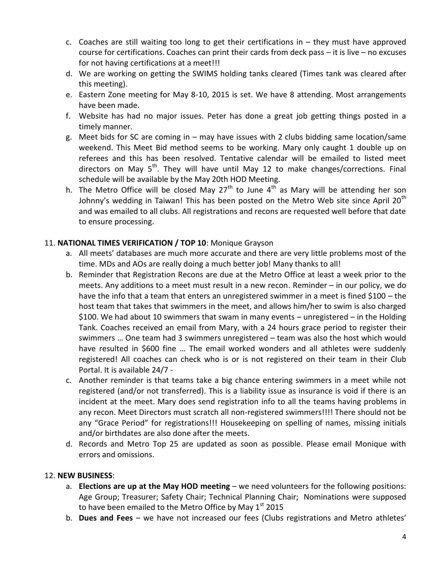- c. Coaches are still waiting too long to get their certifications in they must have approved course for certifications. Coaches can print their cards from deck pass – it is live – no excuses for not having certifications at a meet!!!
- d. We are working on getting the SWIMS holding tanks cleared (Times tank was cleared after this meeting).
- e. Eastern Zone meeting for May 8-10, 2015 is set. We have 8 attending. Most arrangements have been made.
- f. Website has had no major issues. Peter has done a great job getting things posted in a timely manner.
- g. Meet bids for SC are coming in may have issues with 2 clubs bidding same location/same weekend. This Meet Bid method seems to be working. Mary only caught 1 double up on referees and this has been resolved. Tentative calendar will be emailed to listed meet directors on May  $5<sup>th</sup>$ . They will have until May 12 to make changes/corrections. Final schedule will be available by the May 20th HOD Meeting.
- h. The Metro Office will be closed May  $27<sup>th</sup>$  to June  $4<sup>th</sup>$  as Mary will be attending her son Johnny's wedding in Taiwan! This has been posted on the Metro Web site since April  $20<sup>th</sup>$ and was emailed to all clubs. All registrations and recons are requested well before that date to ensure processing.

#### 11. **NATIONAL TIMES VERIFICATION / TOP 10**: Monique Grayson

- a. All meets' databases are much more accurate and there are very little problems most of the time. MDs and AOs are really doing a much better job! Many thanks to all!
- b. Reminder that Registration Recons are due at the Metro Office at least a week prior to the meets. Any additions to a meet must result in a new recon. Reminder – in our policy, we do have the info that a team that enters an unregistered swimmer in a meet is fined \$100 – the host team that takes that swimmers in the meet, and allows him/her to swim is also charged \$100. We had about 10 swimmers that swam in many events – unregistered – in the Holding Tank. Coaches received an email from Mary, with a 24 hours grace period to register their swimmers … One team had 3 swimmers unregistered – team was also the host which would have resulted in \$600 fine … The email worked wonders and all athletes were suddenly registered! All coaches can check who is or is not registered on their team in their Club Portal. It is available 24/7 -
- c. Another reminder is that teams take a big chance entering swimmers in a meet while not registered (and/or not transferred). This is a liability issue as insurance is void if there is an incident at the meet. Mary does send registration info to all the teams having problems in any recon. Meet Directors must scratch all non-registered swimmers!!!! There should not be any "Grace Period" for registrations!!! Housekeeping on spelling of names, missing initials and/or birthdates are also done after the meets.
- d. Records and Metro Top 25 are updated as soon as possible. Please email Monique with errors and omissions.

#### 12. **NEW BUSINESS**:

- a. **Elections are up at the May HOD meeting** we need volunteers for the following positions: Age Group; Treasurer; Safety Chair; Technical Planning Chair; Nominations were supposed to have been emailed to the Metro Office by May  $1<sup>st</sup>$  2015
- b. **Dues and Fees** we have not increased our fees (Clubs registrations and Metro athletes'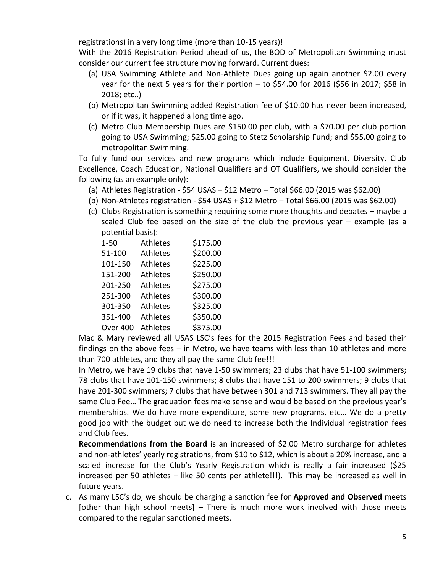registrations) in a very long time (more than 10-15 years)!

With the 2016 Registration Period ahead of us, the BOD of Metropolitan Swimming must consider our current fee structure moving forward. Current dues:

- (a) USA Swimming Athlete and Non-Athlete Dues going up again another \$2.00 every year for the next 5 years for their portion – to \$54.00 for 2016 (\$56 in 2017; \$58 in 2018; etc..)
- (b) Metropolitan Swimming added Registration fee of \$10.00 has never been increased, or if it was, it happened a long time ago.
- (c) Metro Club Membership Dues are \$150.00 per club, with a \$70.00 per club portion going to USA Swimming; \$25.00 going to Stetz Scholarship Fund; and \$55.00 going to metropolitan Swimming.

To fully fund our services and new programs which include Equipment, Diversity, Club Excellence, Coach Education, National Qualifiers and OT Qualifiers, we should consider the following (as an example only):

- (a) Athletes Registration \$54 USAS + \$12 Metro Total \$66.00 (2015 was \$62.00)
- (b) Non-Athletes registration \$54 USAS + \$12 Metro Total \$66.00 (2015 was \$62.00)
- (c) Clubs Registration is something requiring some more thoughts and debates maybe a scaled Club fee based on the size of the club the previous year – example (as a potential basis):

| $1 - 50$ | Athletes        | \$175.00 |
|----------|-----------------|----------|
| 51-100   | Athletes        | \$200.00 |
| 101-150  | <b>Athletes</b> | \$225.00 |
| 151-200  | <b>Athletes</b> | \$250.00 |
| 201-250  | <b>Athletes</b> | \$275.00 |
| 251-300  | <b>Athletes</b> | \$300.00 |
| 301-350  | <b>Athletes</b> | \$325.00 |
| 351-400  | <b>Athletes</b> | \$350.00 |
| Over 400 | <b>Athletes</b> | \$375.00 |

Mac & Mary reviewed all USAS LSC's fees for the 2015 Registration Fees and based their findings on the above fees – in Metro, we have teams with less than 10 athletes and more than 700 athletes, and they all pay the same Club fee!!!

In Metro, we have 19 clubs that have 1-50 swimmers; 23 clubs that have 51-100 swimmers; 78 clubs that have 101-150 swimmers; 8 clubs that have 151 to 200 swimmers; 9 clubs that have 201-300 swimmers; 7 clubs that have between 301 and 713 swimmers. They all pay the same Club Fee… The graduation fees make sense and would be based on the previous year's memberships. We do have more expenditure, some new programs, etc… We do a pretty good job with the budget but we do need to increase both the Individual registration fees and Club fees.

**Recommendations from the Board** is an increased of \$2.00 Metro surcharge for athletes and non-athletes' yearly registrations, from \$10 to \$12, which is about a 20% increase, and a scaled increase for the Club's Yearly Registration which is really a fair increased (\$25 increased per 50 athletes – like 50 cents per athlete!!!). This may be increased as well in future years.

c. As many LSC's do, we should be charging a sanction fee for **Approved and Observed** meets [other than high school meets] – There is much more work involved with those meets compared to the regular sanctioned meets.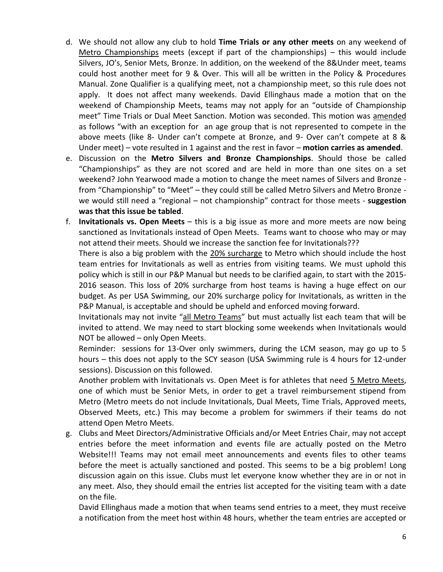- d. We should not allow any club to hold **Time Trials or any other meets** on any weekend of Metro Championships meets (except if part of the championships) – this would include Silvers, JO's, Senior Mets, Bronze. In addition, on the weekend of the 8&Under meet, teams could host another meet for 9 & Over. This will all be written in the Policy & Procedures Manual. Zone Qualifier is a qualifying meet, not a championship meet, so this rule does not apply. It does not affect many weekends. David Ellinghaus made a motion that on the weekend of Championship Meets, teams may not apply for an "outside of Championship meet" Time Trials or Dual Meet Sanction. Motion was seconded. This motion was amended as follows "with an exception for an age group that is not represented to compete in the above meets (like 8- Under can't compete at Bronze, and 9- Over can't compete at 8 & Under meet) – vote resulted in 1 against and the rest in favor – **motion carries as amended**.
- e. Discussion on the **Metro Silvers and Bronze Championships**. Should those be called "Championships" as they are not scored and are held in more than one sites on a set weekend? John Yearwood made a motion to change the meet names of Silvers and Bronze from "Championship" to "Meet" – they could still be called Metro Silvers and Metro Bronze we would still need a "regional – not championship" contract for those meets - **suggestion was that this issue be tabled**.
- f. **Invitationals vs. Open Meets** this is a big issue as more and more meets are now being sanctioned as Invitationals instead of Open Meets. Teams want to choose who may or may not attend their meets. Should we increase the sanction fee for Invitationals???

There is also a big problem with the 20% surcharge to Metro which should include the host team entries for Invitationals as well as entries from visiting teams. We must uphold this policy which is still in our P&P Manual but needs to be clarified again, to start with the 2015- 2016 season. This loss of 20% surcharge from host teams is having a huge effect on our budget. As per USA Swimming, our 20% surcharge policy for Invitationals, as written in the P&P Manual, is acceptable and should be upheld and enforced moving forward.

Invitationals may not invite "all Metro Teams" but must actually list each team that will be invited to attend. We may need to start blocking some weekends when Invitationals would NOT be allowed – only Open Meets.

Reminder: sessions for 13-Over only swimmers, during the LCM season, may go up to 5 hours – this does not apply to the SCY season (USA Swimming rule is 4 hours for 12-under sessions). Discussion on this followed.

Another problem with Invitationals vs. Open Meet is for athletes that need 5 Metro Meets, one of which must be Senior Mets, in order to get a travel reimbursement stipend from Metro (Metro meets do not include Invitationals, Dual Meets, Time Trials, Approved meets, Observed Meets, etc.) This may become a problem for swimmers if their teams do not attend Open Metro Meets.

g. Clubs and Meet Directors/Administrative Officials and/or Meet Entries Chair, may not accept entries before the meet information and events file are actually posted on the Metro Website!!! Teams may not email meet announcements and events files to other teams before the meet is actually sanctioned and posted. This seems to be a big problem! Long discussion again on this issue. Clubs must let everyone know whether they are in or not in any meet. Also, they should email the entries list accepted for the visiting team with a date on the file.

David Ellinghaus made a motion that when teams send entries to a meet, they must receive a notification from the meet host within 48 hours, whether the team entries are accepted or